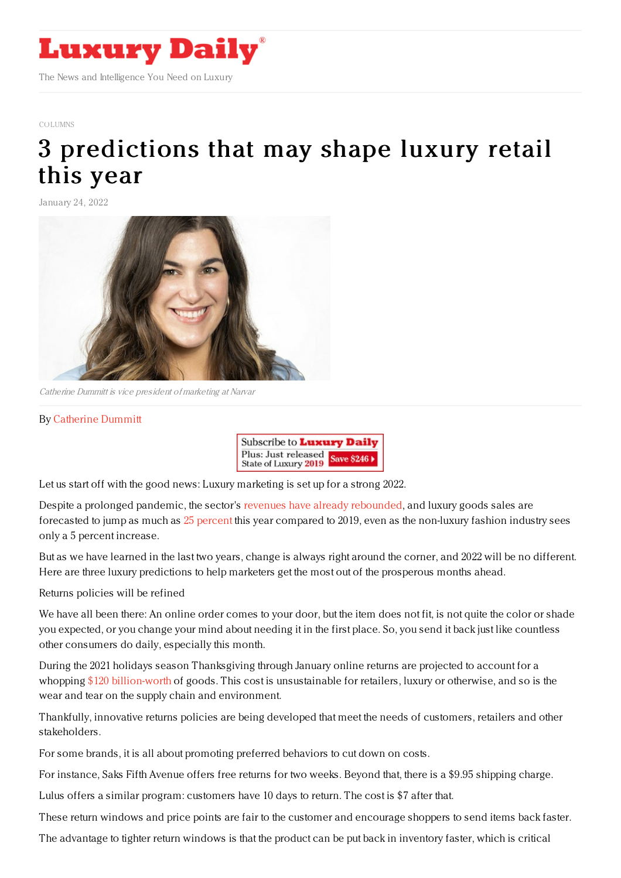

## [COLUMNS](https://www.luxurydaily.com/category/opinion/columns/)

## 3 [predictions](https://www.luxurydaily.com/?p=344155) that may shape luxury retail this year

January 24, 2022



Catherine Dummitt is vice president of marketing at Narvar

## By [Catherine](https://www.narvar.com) Dummitt



Let us start off with the good news: Luxury marketing is set up for a strong 2022.

Despite a prolonged pandemic, the sector's revenues have already [rebounded](https://www.luxurydaily.com/luxury-watches-jewelry-set-to-slowly-rebound-mckinsey/), and luxury goods sales are forecasted to jump as much as 25 [percent](https://www.bloomberg.com/news/articles/2021-12-16/luxury-brands-are-keeping-their-pandemic-playbooks-and-expanding-into-e-commerce) this year compared to 2019, even as the non-luxury fashion industry sees only a 5 percent increase.

But as we have learned in the last two years, change is always right around the corner, and 2022 will be no different. Here are three luxury predictions to help marketers get the most out of the prosperous months ahead.

## Returns policies will be refined

We have all been there: An online order comes to your door, but the item does not fit, is not quite the color or shade you expected, or you change your mind about needing it in the first place. So, you send it back just like countless other consumers do daily, especially this month.

During the 2021 holidays season Thanksgiving through January online returns are projected to account for a whopping \$120 [billion-worth](https://www.cnn.com/2021/12/29/business/holiday-return-costs-2021/index.html) of goods. This cost is unsustainable for retailers, luxury or otherwise, and so is the wear and tear on the supply chain and environment.

Thankfully, innovative returns policies are being developed that meet the needs of customers, retailers and other stakeholders.

For some brands, it is all about promoting preferred behaviors to cut down on costs.

For instance, Saks Fifth Avenue offers free returns for two weeks. Beyond that, there is a \$9.95 shipping charge.

Lulus offers a similar program: customers have 10 days to return. The cost is \$7 after that.

These return windows and price points are fair to the customer and encourage shoppers to send items back faster.

The advantage to tighter return windows is that the product can be put back in inventory faster, which is critical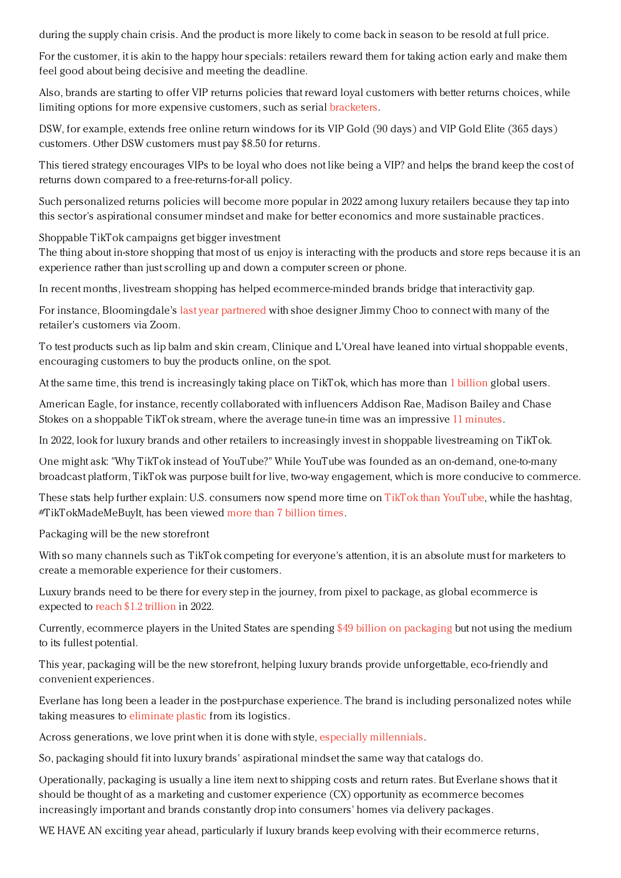during the supply chain crisis. And the product is more likely to come back in season to be resold at full price.

For the customer, it is akin to the happy hour specials: retailers reward them for taking action early and make them feel good about being decisive and meeting the deadline.

Also, brands are starting to offer VIP returns policies that reward loyal customers with better returns choices, while limiting options for more expensive customers, such as serial [bracketers](https://www.businessinsider.com/bracketing-online-shopping-downsides-explained-2021-11#:~:text=%2522Bracketing%2522%20is%20the%20practice%20of,in%20a%20survey%20reported%20bracketing.).

DSW, for example, extends free online return windows for its VIP Gold (90 days) and VIP Gold Elite (365 days) customers. Other DSW customers must pay \$8.50 for returns.

This tiered strategy encourages VIPs to be loyal who does not like being a VIP? and helps the brand keep the cost of returns down compared to a free-returns-for-all policy.

Such personalized returns policies will become more popular in 2022 among luxury retailers because they tap into this sector's aspirational consumer mindset and make for better economics and more sustainable practices.

Shoppable TikTok campaigns get bigger investment

The thing about in-store shopping that most of us enjoy is interacting with the products and store reps because it is an experience rather than just scrolling up and down a computer screen or phone.

In recent months, livestream shopping has helped ecommerce-minded brands bridge that interactivity gap.

For instance, Bloomingdale's last year [partnered](https://www.cnbc.com/2021/05/03/retailers-from-bloomingdales-to-petco-test-livestreaming-to-win-sales.html) with shoe designer Jimmy Choo to connect with many of the retailer's customers via Zoom.

To test products such as lip balm and skin cream, Clinique and L'Oreal have leaned into virtual shoppable events, encouraging customers to buy the products online, on the spot.

At the same time, this trend is increasingly taking place on TikTok, which has more than 1 [billion](https://www.statista.com/statistics/1267892/tiktok-global-mau/#:~:text=TikTok%20global%20monthly%20active%20users%202018%252D2021&text=In%20September%202021%252C%20social%20video,the%20biggest%20social%20networks%20worldwide.) global users.

American Eagle, for instance, recently collaborated with influencers Addison Rae, Madison Bailey and Chase Stokes on a shoppable TikTok stream, where the average tune-in time was an impressive 11 [minutes](https://adage.com/article/digital-marketing-ad-tech-news/brands-test-tiktoks-live-shopping-feature/2386096).

In 2022, look for luxury brands and other retailers to increasingly invest in shoppable livestreaming on TikTok.

One might ask: "Why TikTok instead of YouTube?" While YouTube was founded as an on-demand, one-to-many broadcast platform, TikTok was purpose built for live, two-way engagement, which is more conducive to commerce.

These stats help further explain: U.S. consumers now spend more time on TikTok than [YouTube](https://www.theverge.com/2021/9/7/22660516/tiktok-average-watch-time-youtube-us-android-app-annie), while the hashtag, #TikTokMadeMeBuyIt, has been viewed more than 7 [billion](https://www.nytimes.com/2021/12/21/business/tiktok-ads.html) times.

Packaging will be the new storefront

With so many channels such as TikTok competing for everyone's attention, it is an absolute must for marketers to create a memorable experience for their customers.

Luxury brands need to be there for every step in the journey, from pixel to package, as global ecommerce is expected to reach \$1.2 [trillion](https://www.businesswire.com/news/home/20211109005306/en/Digital-B2C-B2B-eCommerce-Sales-Reach-New-Levels-of-Growth-Post-pandemic-Forecast-to-Reach-6-Trillion-in-2022) in 2022.

Currently, ecommerce players in the United States are spending \$49 billion on [packaging](https://www.smithers.com/services/market-reports/packaging/the-future-of-e-commerce-packaging-to-2025) but not using the medium to its fullest potential.

This year, packaging will be the new storefront, helping luxury brands provide unforgettable, eco-friendly and convenient experiences.

Everlane has long been a leader in the post-purchase experience. The brand is including personalized notes while taking measures to [eliminate](https://www.fastcompany.com/90325711/everlanes-founder-vowed-to-remove-all-new-plastic-from-the-brands-supply-chain-by-2021-now-he-has-to-figure-out-how) plastic from its logistics.

Across generations, we love print when it is done with style, especially [millennials](https://hbr.org/2020/02/why-catalogs-are-making-a-comeback).

So, packaging should fit into luxury brands' aspirational mindset the same way that catalogs do.

Operationally, packaging is usually a line item next to shipping costs and return rates. But Everlane shows that it should be thought of as a marketing and customer experience (CX) opportunity as ecommerce becomes increasingly important and brands constantly drop into consumers' homes via delivery packages.

WE HAVE AN exciting year ahead, particularly if luxury brands keep evolving with their ecommerce returns,